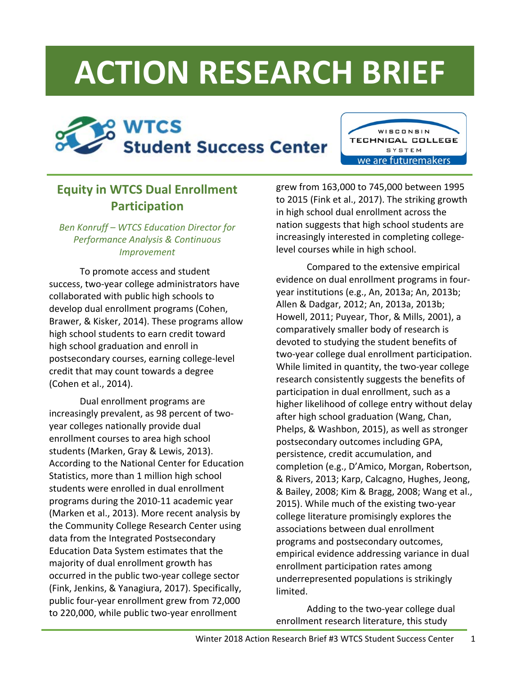# **ACTION RESEARCH BRIEF**

## **WTCS Student Success Center**



### **Equity in WTCS Dual Enrollment Participation**

*Ben Konruff – WTCS Education Director for Performance Analysis & Continuous Improvement* 

To promote access and student success, two‐year college administrators have collaborated with public high schools to develop dual enrollment programs (Cohen, Brawer, & Kisker, 2014). These programs allow high school students to earn credit toward high school graduation and enroll in postsecondary courses, earning college‐level credit that may count towards a degree (Cohen et al., 2014).

Dual enrollment programs are increasingly prevalent, as 98 percent of two‐ year colleges nationally provide dual enrollment courses to area high school students (Marken, Gray & Lewis, 2013). According to the National Center for Education Statistics, more than 1 million high school students were enrolled in dual enrollment programs during the 2010‐11 academic year (Marken et al., 2013). More recent analysis by the Community College Research Center using data from the Integrated Postsecondary Education Data System estimates that the majority of dual enrollment growth has occurred in the public two‐year college sector (Fink, Jenkins, & Yanagiura, 2017). Specifically, public four‐year enrollment grew from 72,000 to 220,000, while public two‐year enrollment

grew from 163,000 to 745,000 between 1995 to 2015 (Fink et al., 2017). The striking growth in high school dual enrollment across the nation suggests that high school students are increasingly interested in completing college‐ level courses while in high school.

Compared to the extensive empirical evidence on dual enrollment programs in four‐ year institutions (e.g., An, 2013a; An, 2013b; Allen & Dadgar, 2012; An, 2013a, 2013b; Howell, 2011; Puyear, Thor, & Mills, 2001), a comparatively smaller body of research is devoted to studying the student benefits of two‐year college dual enrollment participation. While limited in quantity, the two-year college research consistently suggests the benefits of participation in dual enrollment, such as a higher likelihood of college entry without delay after high school graduation (Wang, Chan, Phelps, & Washbon, 2015), as well as stronger postsecondary outcomes including GPA, persistence, credit accumulation, and completion (e.g., D'Amico, Morgan, Robertson, & Rivers, 2013; Karp, Calcagno, Hughes, Jeong, & Bailey, 2008; Kim & Bragg, 2008; Wang et al., 2015). While much of the existing two‐year college literature promisingly explores the associations between dual enrollment programs and postsecondary outcomes, empirical evidence addressing variance in dual enrollment participation rates among underrepresented populations is strikingly limited.

Adding to the two‐year college dual enrollment research literature, this study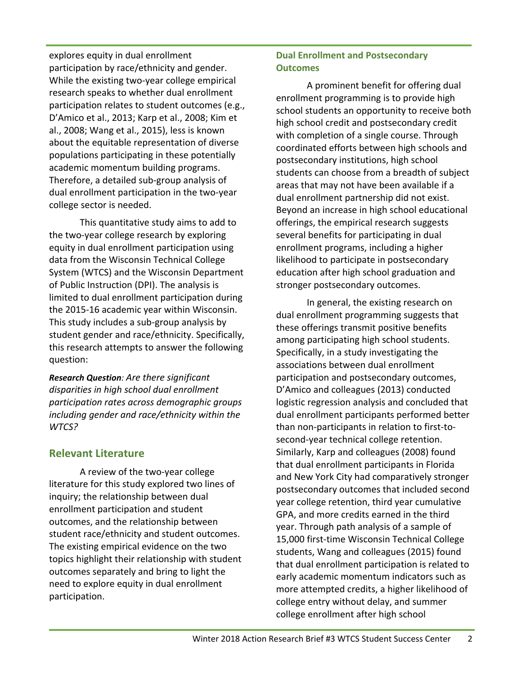explores equity in dual enrollment participation by race/ethnicity and gender. While the existing two-year college empirical research speaks to whether dual enrollment participation relates to student outcomes (e.g., D'Amico et al., 2013; Karp et al., 2008; Kim et al., 2008; Wang et al., 2015), less is known about the equitable representation of diverse populations participating in these potentially academic momentum building programs. Therefore, a detailed sub‐group analysis of dual enrollment participation in the two‐year college sector is needed.

This quantitative study aims to add to the two‐year college research by exploring equity in dual enrollment participation using data from the Wisconsin Technical College System (WTCS) and the Wisconsin Department of Public Instruction (DPI). The analysis is limited to dual enrollment participation during the 2015‐16 academic year within Wisconsin. This study includes a sub‐group analysis by student gender and race/ethnicity. Specifically, this research attempts to answer the following question:

*Research Question: Are there significant disparities in high school dual enrollment participation rates across demographic groups including gender and race/ethnicity within the WTCS?* 

#### **Relevant Literature**

A review of the two‐year college literature for this study explored two lines of inquiry; the relationship between dual enrollment participation and student outcomes, and the relationship between student race/ethnicity and student outcomes. The existing empirical evidence on the two topics highlight their relationship with student outcomes separately and bring to light the need to explore equity in dual enrollment participation.

#### **Dual Enrollment and Postsecondary Outcomes**

A prominent benefit for offering dual enrollment programming is to provide high school students an opportunity to receive both high school credit and postsecondary credit with completion of a single course. Through coordinated efforts between high schools and postsecondary institutions, high school students can choose from a breadth of subject areas that may not have been available if a dual enrollment partnership did not exist. Beyond an increase in high school educational offerings, the empirical research suggests several benefits for participating in dual enrollment programs, including a higher likelihood to participate in postsecondary education after high school graduation and stronger postsecondary outcomes.

 In general, the existing research on dual enrollment programming suggests that these offerings transmit positive benefits among participating high school students. Specifically, in a study investigating the associations between dual enrollment participation and postsecondary outcomes, D'Amico and colleagues (2013) conducted logistic regression analysis and concluded that dual enrollment participants performed better than non‐participants in relation to first‐to‐ second-year technical college retention. Similarly, Karp and colleagues (2008) found that dual enrollment participants in Florida and New York City had comparatively stronger postsecondary outcomes that included second year college retention, third year cumulative GPA, and more credits earned in the third year. Through path analysis of a sample of 15,000 first‐time Wisconsin Technical College students, Wang and colleagues (2015) found that dual enrollment participation is related to early academic momentum indicators such as more attempted credits, a higher likelihood of college entry without delay, and summer college enrollment after high school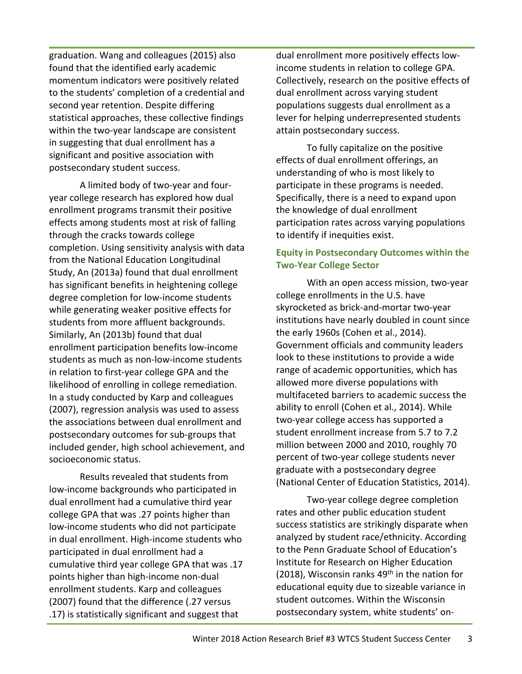graduation. Wang and colleagues (2015) also found that the identified early academic momentum indicators were positively related to the students' completion of a credential and second year retention. Despite differing statistical approaches, these collective findings within the two-year landscape are consistent in suggesting that dual enrollment has a significant and positive association with postsecondary student success.

 A limited body of two‐year and four‐ year college research has explored how dual enrollment programs transmit their positive effects among students most at risk of falling through the cracks towards college completion. Using sensitivity analysis with data from the National Education Longitudinal Study, An (2013a) found that dual enrollment has significant benefits in heightening college degree completion for low‐income students while generating weaker positive effects for students from more affluent backgrounds. Similarly, An (2013b) found that dual enrollment participation benefits low‐income students as much as non‐low‐income students in relation to first‐year college GPA and the likelihood of enrolling in college remediation. In a study conducted by Karp and colleagues (2007), regression analysis was used to assess the associations between dual enrollment and postsecondary outcomes for sub‐groups that included gender, high school achievement, and socioeconomic status.

Results revealed that students from low‐income backgrounds who participated in dual enrollment had a cumulative third year college GPA that was .27 points higher than low‐income students who did not participate in dual enrollment. High‐income students who participated in dual enrollment had a cumulative third year college GPA that was .17 points higher than high‐income non‐dual enrollment students. Karp and colleagues (2007) found that the difference (.27 versus .17) is statistically significant and suggest that

dual enrollment more positively effects low‐ income students in relation to college GPA. Collectively, research on the positive effects of dual enrollment across varying student populations suggests dual enrollment as a lever for helping underrepresented students attain postsecondary success.

To fully capitalize on the positive effects of dual enrollment offerings, an understanding of who is most likely to participate in these programs is needed. Specifically, there is a need to expand upon the knowledge of dual enrollment participation rates across varying populations to identify if inequities exist.

#### **Equity in Postsecondary Outcomes within the Two‐Year College Sector**

With an open access mission, two-year college enrollments in the U.S. have skyrocketed as brick‐and‐mortar two‐year institutions have nearly doubled in count since the early 1960s (Cohen et al., 2014). Government officials and community leaders look to these institutions to provide a wide range of academic opportunities, which has allowed more diverse populations with multifaceted barriers to academic success the ability to enroll (Cohen et al., 2014). While two‐year college access has supported a student enrollment increase from 5.7 to 7.2 million between 2000 and 2010, roughly 70 percent of two‐year college students never graduate with a postsecondary degree (National Center of Education Statistics, 2014).

Two‐year college degree completion rates and other public education student success statistics are strikingly disparate when analyzed by student race/ethnicity. According to the Penn Graduate School of Education's Institute for Research on Higher Education (2018), Wisconsin ranks  $49<sup>th</sup>$  in the nation for educational equity due to sizeable variance in student outcomes. Within the Wisconsin postsecondary system, white students' on‐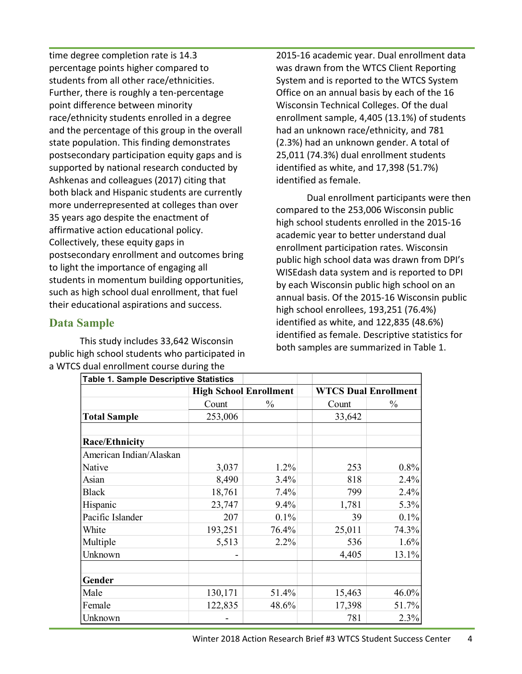time degree completion rate is 14.3 percentage points higher compared to students from all other race/ethnicities. Further, there is roughly a ten‐percentage point difference between minority race/ethnicity students enrolled in a degree and the percentage of this group in the overall state population. This finding demonstrates postsecondary participation equity gaps and is supported by national research conducted by Ashkenas and colleagues (2017) citing that both black and Hispanic students are currently more underrepresented at colleges than over 35 years ago despite the enactment of affirmative action educational policy. Collectively, these equity gaps in postsecondary enrollment and outcomes bring to light the importance of engaging all students in momentum building opportunities, such as high school dual enrollment, that fuel their educational aspirations and success.

#### **Data Sample**

This study includes 33,642 Wisconsin public high school students who participated in a WTCS dual enrollment course during the

2015‐16 academic year. Dual enrollment data was drawn from the WTCS Client Reporting System and is reported to the WTCS System Office on an annual basis by each of the 16 Wisconsin Technical Colleges. Of the dual enrollment sample, 4,405 (13.1%) of students had an unknown race/ethnicity, and 781 (2.3%) had an unknown gender. A total of 25,011 (74.3%) dual enrollment students identified as white, and 17,398 (51.7%) identified as female.

Dual enrollment participants were then compared to the 253,006 Wisconsin public high school students enrolled in the 2015‐16 academic year to better understand dual enrollment participation rates. Wisconsin public high school data was drawn from DPI's WISEdash data system and is reported to DPI by each Wisconsin public high school on an annual basis. Of the 2015‐16 Wisconsin public high school enrollees, 193,251 (76.4%) identified as white, and 122,835 (48.6%) identified as female. Descriptive statistics for both samples are summarized in Table 1.

| <b>Table 1. Sample Descriptive Statistics</b> |         |                               |        |                             |  |
|-----------------------------------------------|---------|-------------------------------|--------|-----------------------------|--|
|                                               |         | <b>High School Enrollment</b> |        | <b>WTCS Dual Enrollment</b> |  |
|                                               | Count   | $\%$                          | Count  | $\frac{0}{0}$               |  |
| <b>Total Sample</b>                           | 253,006 |                               | 33,642 |                             |  |
|                                               |         |                               |        |                             |  |
| <b>Race/Ethnicity</b>                         |         |                               |        |                             |  |
| American Indian/Alaskan                       |         |                               |        |                             |  |
| Native                                        | 3,037   | 1.2%                          | 253    | 0.8%                        |  |
| Asian                                         | 8,490   | 3.4%                          | 818    | 2.4%                        |  |
| <b>Black</b>                                  | 18,761  | 7.4%                          | 799    | 2.4%                        |  |
| Hispanic                                      | 23,747  | 9.4%                          | 1,781  | 5.3%                        |  |
| Pacific Islander                              | 207     | 0.1%                          | 39     | 0.1%                        |  |
| White                                         | 193,251 | 76.4%                         | 25,011 | 74.3%                       |  |
| Multiple                                      | 5,513   | 2.2%                          | 536    | 1.6%                        |  |
| Unknown                                       |         |                               | 4,405  | 13.1%                       |  |
|                                               |         |                               |        |                             |  |
| Gender                                        |         |                               |        |                             |  |
| Male                                          | 130,171 | 51.4%                         | 15,463 | 46.0%                       |  |
| Female                                        | 122,835 | 48.6%                         | 17,398 | 51.7%                       |  |
| Unknown                                       |         |                               | 781    | 2.3%                        |  |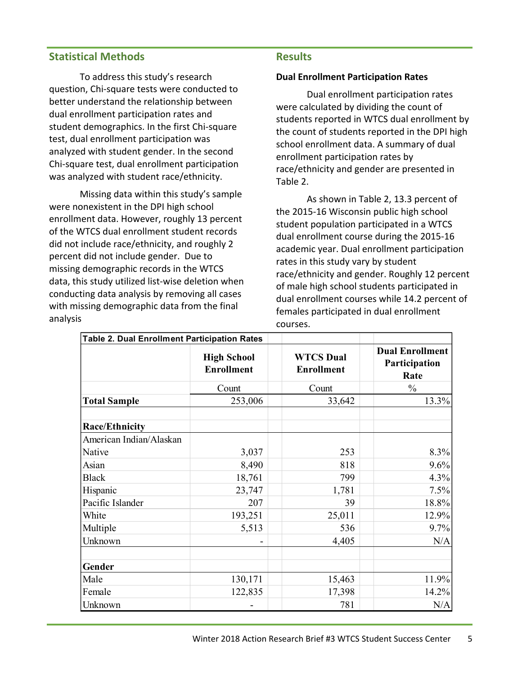#### **Statistical Methods**

To address this study's research question, Chi‐square tests were conducted to better understand the relationship between dual enrollment participation rates and student demographics. In the first Chi‐square test, dual enrollment participation was analyzed with student gender. In the second Chi‐square test, dual enrollment participation was analyzed with student race/ethnicity.

Missing data within this study's sample were nonexistent in the DPI high school enrollment data. However, roughly 13 percent of the WTCS dual enrollment student records did not include race/ethnicity, and roughly 2 percent did not include gender. Due to missing demographic records in the WTCS data, this study utilized list‐wise deletion when conducting data analysis by removing all cases with missing demographic data from the final analysis

#### **Results**

#### **Dual Enrollment Participation Rates**

Dual enrollment participation rates were calculated by dividing the count of students reported in WTCS dual enrollment by the count of students reported in the DPI high school enrollment data. A summary of dual enrollment participation rates by race/ethnicity and gender are presented in Table 2.

As shown in Table 2, 13.3 percent of the 2015‐16 Wisconsin public high school student population participated in a WTCS dual enrollment course during the 2015‐16 academic year. Dual enrollment participation rates in this study vary by student race/ethnicity and gender. Roughly 12 percent of male high school students participated in dual enrollment courses while 14.2 percent of females participated in dual enrollment courses.

| <b>Table 2. Dual Enrollment Participation Rates</b> |                                         |                                       |                                                                  |  |  |
|-----------------------------------------------------|-----------------------------------------|---------------------------------------|------------------------------------------------------------------|--|--|
|                                                     | <b>High School</b><br><b>Enrollment</b> | <b>WTCS Dual</b><br><b>Enrollment</b> | <b>Dual Enrollment</b><br>Participation<br>Rate<br>$\frac{0}{0}$ |  |  |
|                                                     | Count                                   | Count                                 |                                                                  |  |  |
| <b>Total Sample</b>                                 | 253,006                                 | 33,642                                | 13.3%                                                            |  |  |
| <b>Race/Ethnicity</b>                               |                                         |                                       |                                                                  |  |  |
| American Indian/Alaskan                             |                                         |                                       |                                                                  |  |  |
| Native                                              | 3,037                                   | 253                                   | 8.3%                                                             |  |  |
| Asian                                               | 8,490                                   | 818                                   | $9.6\%$                                                          |  |  |
| <b>Black</b>                                        | 18,761                                  | 799                                   | 4.3%                                                             |  |  |
| Hispanic                                            | 23,747                                  | 1,781                                 | 7.5%                                                             |  |  |
| Pacific Islander                                    | 207                                     | 39                                    | 18.8%                                                            |  |  |
| White                                               | 193,251                                 | 25,011                                | 12.9%                                                            |  |  |
| Multiple                                            | 5,513                                   | 536                                   | 9.7%                                                             |  |  |
| Unknown                                             |                                         | 4,405                                 | N/A                                                              |  |  |
| Gender                                              |                                         |                                       |                                                                  |  |  |
| Male                                                | 130,171                                 | 15,463                                | 11.9%                                                            |  |  |
| Female                                              | 122,835                                 | 17,398                                | 14.2%                                                            |  |  |
| Unknown                                             |                                         | 781                                   | N/A                                                              |  |  |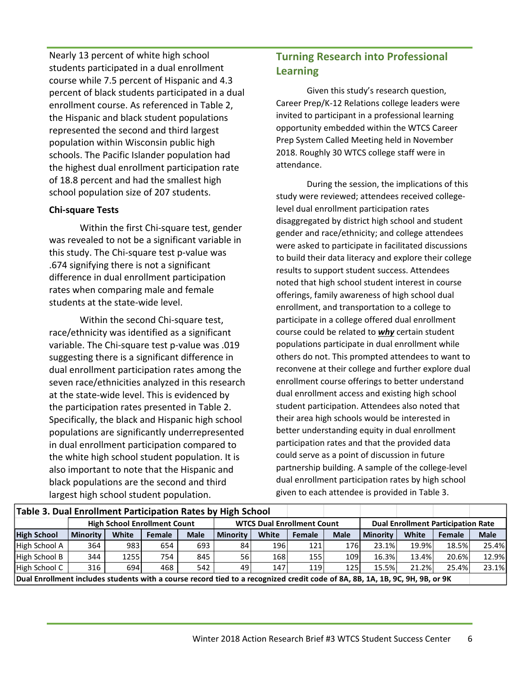Nearly 13 percent of white high school students participated in a dual enrollment course while 7.5 percent of Hispanic and 4.3 percent of black students participated in a dual enrollment course. As referenced in Table 2, the Hispanic and black student populations represented the second and third largest population within Wisconsin public high schools. The Pacific Islander population had the highest dual enrollment participation rate of 18.8 percent and had the smallest high school population size of 207 students.

#### **Chi‐square Tests**

Within the first Chi‐square test, gender was revealed to not be a significant variable in this study. The Chi‐square test p‐value was .674 signifying there is not a significant difference in dual enrollment participation rates when comparing male and female students at the state‐wide level.

Within the second Chi‐square test, race/ethnicity was identified as a significant variable. The Chi‐square test p‐value was .019 suggesting there is a significant difference in dual enrollment participation rates among the seven race/ethnicities analyzed in this research at the state‐wide level. This is evidenced by the participation rates presented in Table 2. Specifically, the black and Hispanic high school populations are significantly underrepresented in dual enrollment participation compared to the white high school student population. It is also important to note that the Hispanic and black populations are the second and third largest high school student population.

#### **Turning Research into Professional Learning**

Given this study's research question, Career Prep/K‐12 Relations college leaders were invited to participant in a professional learning opportunity embedded within the WTCS Career Prep System Called Meeting held in November 2018. Roughly 30 WTCS college staff were in attendance.

During the session, the implications of this study were reviewed; attendees received college‐ level dual enrollment participation rates disaggregated by district high school and student gender and race/ethnicity; and college attendees were asked to participate in facilitated discussions to build their data literacy and explore their college results to support student success. Attendees noted that high school student interest in course offerings, family awareness of high school dual enrollment, and transportation to a college to participate in a college offered dual enrollment course could be related to *why* certain student populations participate in dual enrollment while others do not. This prompted attendees to want to reconvene at their college and further explore dual enrollment course offerings to better understand dual enrollment access and existing high school student participation. Attendees also noted that their area high schools would be interested in better understanding equity in dual enrollment participation rates and that the provided data could serve as a point of discussion in future partnership building. A sample of the college‐level dual enrollment participation rates by high school given to each attendee is provided in Table 3.

| Table 3. Dual Enrollment Participation Rates by High School                                                                  |                                     |       |               |             |                                   |       |               |                                           |                 |              |        |             |
|------------------------------------------------------------------------------------------------------------------------------|-------------------------------------|-------|---------------|-------------|-----------------------------------|-------|---------------|-------------------------------------------|-----------------|--------------|--------|-------------|
|                                                                                                                              | <b>High School Enrollment Count</b> |       |               |             | <b>WTCS Dual Enrollment Count</b> |       |               | <b>Dual Enrollment Participation Rate</b> |                 |              |        |             |
| <b>High School</b>                                                                                                           | <b>Minority</b>                     | White | <b>Female</b> | <b>Male</b> | l Minority                        | White | <b>Female</b> | <b>Male</b>                               | <b>Minority</b> | <b>White</b> | Female | <b>Male</b> |
| High School A                                                                                                                | 364                                 | 983   | 654           | 693         | 84                                | 196   | 121           | 176                                       | 23.1%           | 19.9%        | 18.5%  | 25.4%       |
| High School B                                                                                                                | 344                                 | 1255  | 754           | 845         | 56                                | 168   | 155           | 109                                       | 16.3%           | 13.4%        | 20.6%  | 12.9%       |
| High School C                                                                                                                | 316                                 | 694   | 468           | 542         | 49                                | 147   | 119           | 125                                       | 15.5%           | 21.2%        | 25.4%  | 23.1%       |
| Dual Enrollment includes students with a course record tied to a recognized credit code of 8A, 8B, 1A, 1B, 9C, 9H, 9B, or 9K |                                     |       |               |             |                                   |       |               |                                           |                 |              |        |             |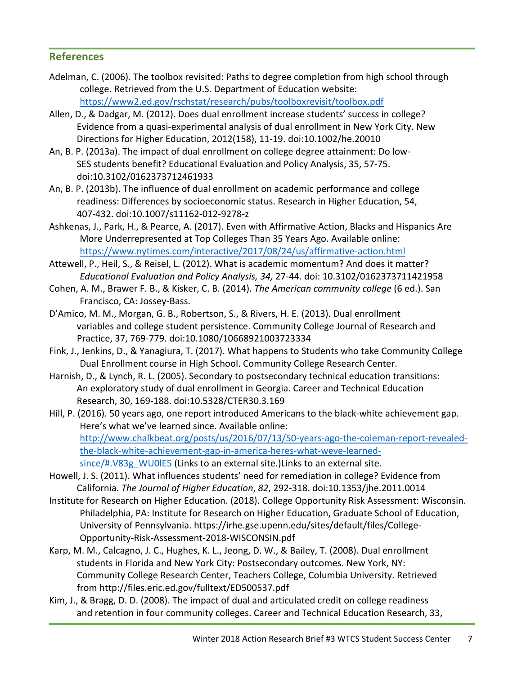#### **References**

- Adelman, C. (2006). The toolbox revisited: Paths to degree completion from high school through college. Retrieved from the U.S. Department of Education website: https://www2.ed.gov/rschstat/research/pubs/toolboxrevisit/toolbox.pdf
- Allen, D., & Dadgar, M. (2012). Does dual enrollment increase students' success in college? Evidence from a quasi‐experimental analysis of dual enrollment in New York City. New Directions for Higher Education, 2012(158), 11‐19. doi:10.1002/he.20010
- An, B. P. (2013a). The impact of dual enrollment on college degree attainment: Do low‐ SES students benefit? Educational Evaluation and Policy Analysis, 35, 57‐75. doi:10.3102/0162373712461933
- An, B. P. (2013b). The influence of dual enrollment on academic performance and college readiness: Differences by socioeconomic status. Research in Higher Education, 54, 407‐432. doi:10.1007/s11162‐012‐9278‐z
- Ashkenas, J., Park, H., & Pearce, A. (2017). Even with Affirmative Action, Blacks and Hispanics Are More Underrepresented at Top Colleges Than 35 Years Ago. Available online: https://www.nytimes.com/interactive/2017/08/24/us/affirmative‐action.html
- Attewell, P., Heil, S., & Reisel, L. (2012). What is academic momentum? And does it matter? *Educational Evaluation and Policy Analysis, 34,* 27‐44. doi: 10.3102/0162373711421958
- Cohen, A. M., Brawer F. B., & Kisker, C. B. (2014). *The American community college* (6 ed.). San Francisco, CA: Jossey‐Bass.
- D'Amico, M. M., Morgan, G. B., Robertson, S., & Rivers, H. E. (2013). Dual enrollment variables and college student persistence. Community College Journal of Research and Practice, 37, 769‐779. doi:10.1080/10668921003723334
- Fink, J., Jenkins, D., & Yanagiura, T. (2017). What happens to Students who take Community College Dual Enrollment course in High School. Community College Research Center.
- Harnish, D., & Lynch, R. L. (2005). Secondary to postsecondary technical education transitions: An exploratory study of dual enrollment in Georgia. Career and Technical Education Research, 30, 169‐188. doi:10.5328/CTER30.3.169
- Hill, P. (2016). 50 years ago, one report introduced Americans to the black-white achievement gap. Here's what we've learned since. Available online: http://www.chalkbeat.org/posts/us/2016/07/13/50‐years‐ago‐the‐coleman‐report‐revealed‐ the‐black‐white‐achievement‐gap‐in‐america‐heres‐what‐weve‐learned‐ since/#.V83g\_WU0lE5 (Links to an external site.)Links to an external site.
- Howell, J. S. (2011). What influences students' need for remediation in college? Evidence from California. *The Journal of Higher Education*, *82*, 292‐318. doi:10.1353/jhe.2011.0014
- Institute for Research on Higher Education. (2018). College Opportunity Risk Assessment: Wisconsin. Philadelphia, PA: Institute for Research on Higher Education, Graduate School of Education, University of Pennsylvania. https://irhe.gse.upenn.edu/sites/default/files/College‐ Opportunity‐Risk‐Assessment‐2018‐WISCONSIN.pdf
- Karp, M. M., Calcagno, J. C., Hughes, K. L., Jeong, D. W., & Bailey, T. (2008). Dual enrollment students in Florida and New York City: Postsecondary outcomes. New York, NY: Community College Research Center, Teachers College, Columbia University. Retrieved from http://files.eric.ed.gov/fulltext/ED500537.pdf
- Kim, J., & Bragg, D. D. (2008). The impact of dual and articulated credit on college readiness and retention in four community colleges. Career and Technical Education Research, 33,